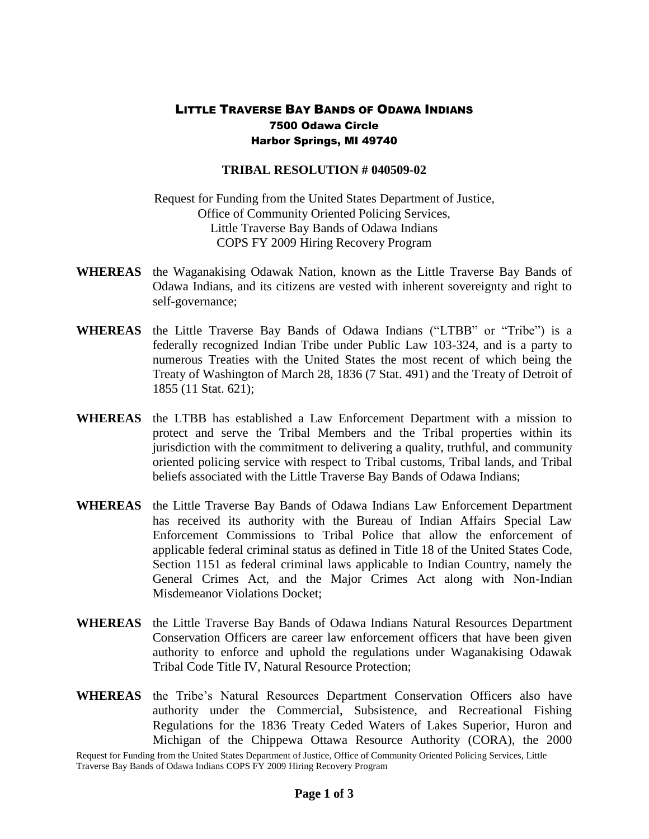## LITTLE TRAVERSE BAY BANDS OF ODAWA INDIANS 7500 Odawa Circle Harbor Springs, MI 49740

## **TRIBAL RESOLUTION # 040509-02**

Request for Funding from the United States Department of Justice, Office of Community Oriented Policing Services, Little Traverse Bay Bands of Odawa Indians COPS FY 2009 Hiring Recovery Program

- **WHEREAS** the Waganakising Odawak Nation, known as the Little Traverse Bay Bands of Odawa Indians, and its citizens are vested with inherent sovereignty and right to self-governance;
- **WHEREAS** the Little Traverse Bay Bands of Odawa Indians ("LTBB" or "Tribe") is a federally recognized Indian Tribe under Public Law 103-324, and is a party to numerous Treaties with the United States the most recent of which being the Treaty of Washington of March 28, 1836 (7 Stat. 491) and the Treaty of Detroit of 1855 (11 Stat. 621);
- **WHEREAS** the LTBB has established a Law Enforcement Department with a mission to protect and serve the Tribal Members and the Tribal properties within its jurisdiction with the commitment to delivering a quality, truthful, and community oriented policing service with respect to Tribal customs, Tribal lands, and Tribal beliefs associated with the Little Traverse Bay Bands of Odawa Indians;
- **WHEREAS** the Little Traverse Bay Bands of Odawa Indians Law Enforcement Department has received its authority with the Bureau of Indian Affairs Special Law Enforcement Commissions to Tribal Police that allow the enforcement of applicable federal criminal status as defined in Title 18 of the United States Code, Section 1151 as federal criminal laws applicable to Indian Country, namely the General Crimes Act, and the Major Crimes Act along with Non-Indian Misdemeanor Violations Docket;
- **WHEREAS** the Little Traverse Bay Bands of Odawa Indians Natural Resources Department Conservation Officers are career law enforcement officers that have been given authority to enforce and uphold the regulations under Waganakising Odawak Tribal Code Title IV, Natural Resource Protection;
- **WHEREAS** the Tribe's Natural Resources Department Conservation Officers also have authority under the Commercial, Subsistence, and Recreational Fishing Regulations for the 1836 Treaty Ceded Waters of Lakes Superior, Huron and Michigan of the Chippewa Ottawa Resource Authority (CORA), the 2000

Request for Funding from the United States Department of Justice, Office of Community Oriented Policing Services, Little Traverse Bay Bands of Odawa Indians COPS FY 2009 Hiring Recovery Program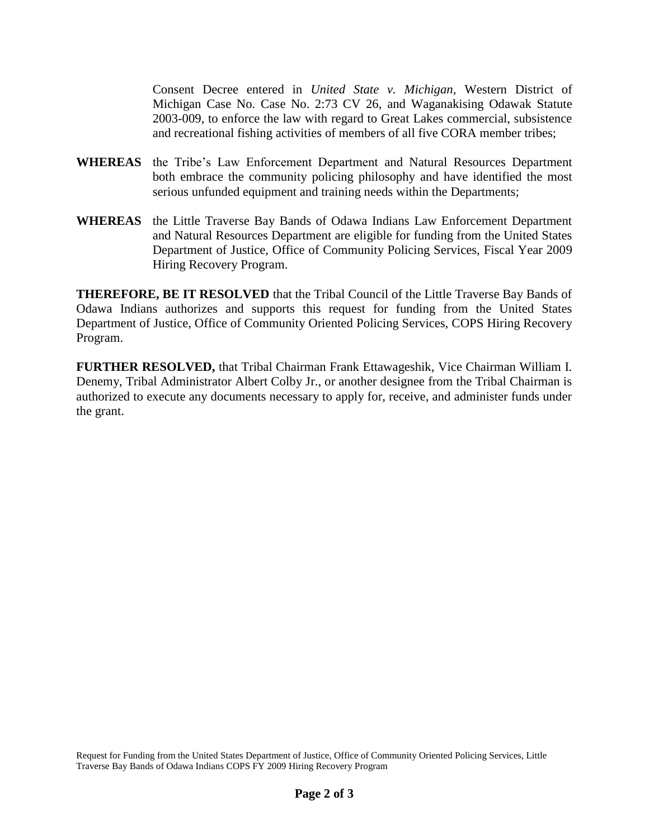Consent Decree entered in *United State v. Michigan,* Western District of Michigan Case No. Case No. 2:73 CV 26, and Waganakising Odawak Statute 2003-009, to enforce the law with regard to Great Lakes commercial, subsistence and recreational fishing activities of members of all five CORA member tribes;

- **WHEREAS** the Tribe's Law Enforcement Department and Natural Resources Department both embrace the community policing philosophy and have identified the most serious unfunded equipment and training needs within the Departments;
- **WHEREAS** the Little Traverse Bay Bands of Odawa Indians Law Enforcement Department and Natural Resources Department are eligible for funding from the United States Department of Justice, Office of Community Policing Services, Fiscal Year 2009 Hiring Recovery Program.

**THEREFORE, BE IT RESOLVED** that the Tribal Council of the Little Traverse Bay Bands of Odawa Indians authorizes and supports this request for funding from the United States Department of Justice, Office of Community Oriented Policing Services, COPS Hiring Recovery Program.

**FURTHER RESOLVED,** that Tribal Chairman Frank Ettawageshik, Vice Chairman William I. Denemy, Tribal Administrator Albert Colby Jr., or another designee from the Tribal Chairman is authorized to execute any documents necessary to apply for, receive, and administer funds under the grant.